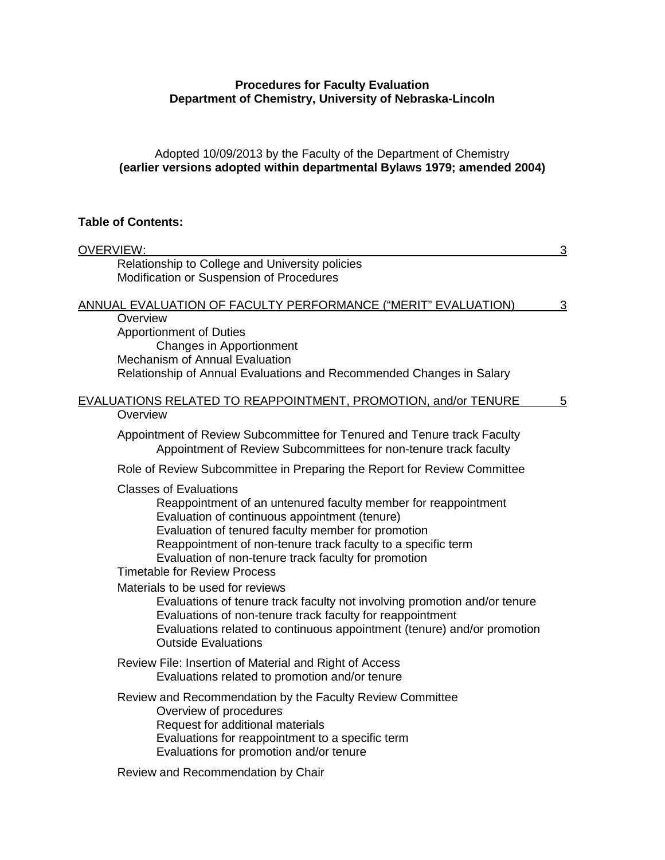## **Procedures for Faculty Evaluation Department of Chemistry, University of Nebraska-Lincoln**

### Adopted 10/09/2013 by the Faculty of the Department of Chemistry **(earlier versions adopted within departmental Bylaws 1979; amended 2004)**

## **Table of Contents:**

| <b>OVERVIEW:</b>                                                                                                                                                                                                                                                                                                                                                      | $\overline{3}$ |
|-----------------------------------------------------------------------------------------------------------------------------------------------------------------------------------------------------------------------------------------------------------------------------------------------------------------------------------------------------------------------|----------------|
| Relationship to College and University policies<br>Modification or Suspension of Procedures                                                                                                                                                                                                                                                                           |                |
| ANNUAL EVALUATION OF FACULTY PERFORMANCE ("MERIT" EVALUATION)                                                                                                                                                                                                                                                                                                         | $\mathbf{3}$   |
| Overview<br><b>Apportionment of Duties</b><br>Changes in Apportionment<br><b>Mechanism of Annual Evaluation</b><br>Relationship of Annual Evaluations and Recommended Changes in Salary                                                                                                                                                                               |                |
| EVALUATIONS RELATED TO REAPPOINTMENT, PROMOTION, and/or TENURE<br>Overview                                                                                                                                                                                                                                                                                            | 5              |
| Appointment of Review Subcommittee for Tenured and Tenure track Faculty<br>Appointment of Review Subcommittees for non-tenure track faculty                                                                                                                                                                                                                           |                |
| Role of Review Subcommittee in Preparing the Report for Review Committee                                                                                                                                                                                                                                                                                              |                |
| <b>Classes of Evaluations</b><br>Reappointment of an untenured faculty member for reappointment<br>Evaluation of continuous appointment (tenure)<br>Evaluation of tenured faculty member for promotion<br>Reappointment of non-tenure track faculty to a specific term<br>Evaluation of non-tenure track faculty for promotion<br><b>Timetable for Review Process</b> |                |
| Materials to be used for reviews<br>Evaluations of tenure track faculty not involving promotion and/or tenure<br>Evaluations of non-tenure track faculty for reappointment<br>Evaluations related to continuous appointment (tenure) and/or promotion<br><b>Outside Evaluations</b>                                                                                   |                |
| Review File: Insertion of Material and Right of Access<br>Evaluations related to promotion and/or tenure                                                                                                                                                                                                                                                              |                |
| Review and Recommendation by the Faculty Review Committee<br>Overview of procedures<br>Request for additional materials<br>Evaluations for reappointment to a specific term<br>Evaluations for promotion and/or tenure<br>Review and Recommendation by Chair                                                                                                          |                |
|                                                                                                                                                                                                                                                                                                                                                                       |                |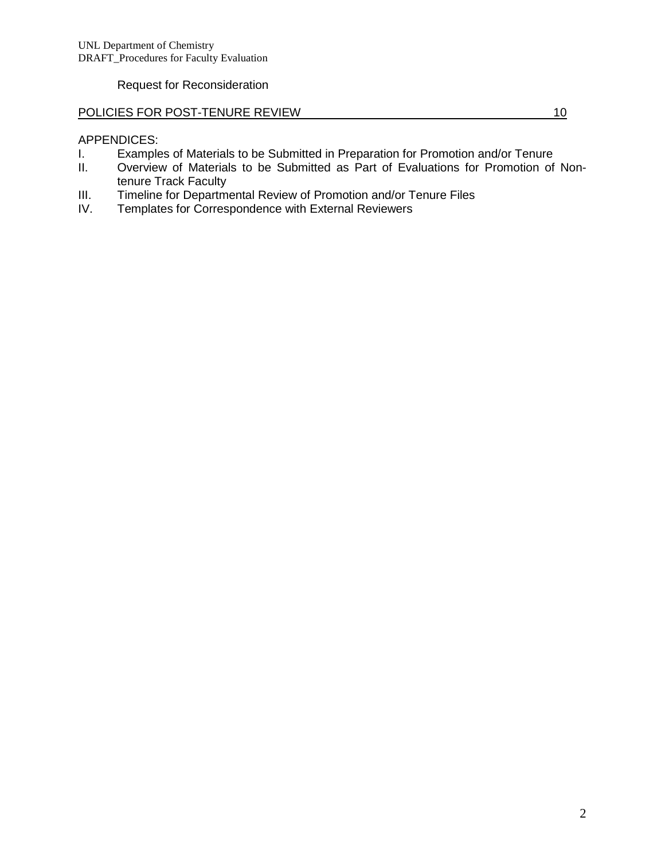Request for Reconsideration

## POLICIES FOR POST-TENURE REVIEW 10 10

## APPENDICES:

- I. Examples of Materials to be Submitted in Preparation for Promotion and/or Tenure<br>II. Overview of Materials to be Submitted as Part of Evaluations for Promotion of
- Overview of Materials to be Submitted as Part of Evaluations for Promotion of Nontenure Track Faculty
- III. Timeline for Departmental Review of Promotion and/or Tenure Files<br>IV. Templates for Correspondence with External Reviewers
- Templates for Correspondence with External Reviewers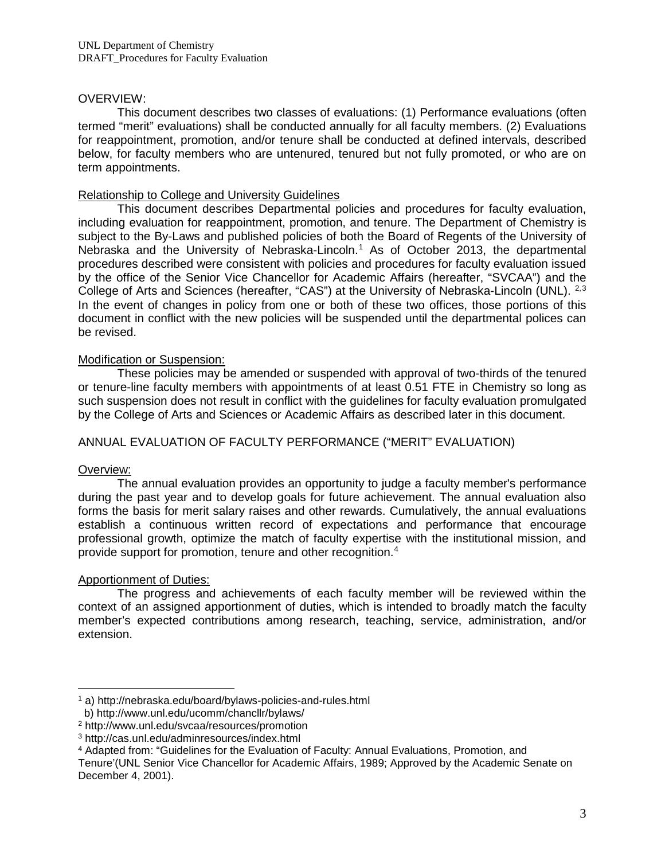### OVERVIEW:

This document describes two classes of evaluations: (1) Performance evaluations (often termed "merit" evaluations) shall be conducted annually for all faculty members. (2) Evaluations for reappointment, promotion, and/or tenure shall be conducted at defined intervals, described below, for faculty members who are untenured, tenured but not fully promoted, or who are on term appointments.

### Relationship to College and University Guidelines

This document describes Departmental policies and procedures for faculty evaluation, including evaluation for reappointment, promotion, and tenure. The Department of Chemistry is subject to the By-Laws and published policies of both the Board of Regents of the University of Nebraska and the University of Nebraska-Lincoln.<sup>[1](#page-2-0)</sup> As of October 2013, the departmental procedures described were consistent with policies and procedures for faculty evaluation issued by the office of the Senior Vice Chancellor for Academic Affairs (hereafter, "SVCAA") and the College of Arts and Sciences (hereafter, "CAS") at the University of Nebraska-Lincoln (UNL). <sup>[2,](#page-2-1)[3](#page-2-2)</sup> In the event of changes in policy from one or both of these two offices, those portions of this document in conflict with the new policies will be suspended until the departmental polices can be revised.

## Modification or Suspension:

These policies may be amended or suspended with approval of two-thirds of the tenured or tenure-line faculty members with appointments of at least 0.51 FTE in Chemistry so long as such suspension does not result in conflict with the guidelines for faculty evaluation promulgated by the College of Arts and Sciences or Academic Affairs as described later in this document.

## ANNUAL EVALUATION OF FACULTY PERFORMANCE ("MERIT" EVALUATION)

#### Overview:

 $\overline{a}$ 

The annual evaluation provides an opportunity to judge a faculty member's performance during the past year and to develop goals for future achievement. The annual evaluation also forms the basis for merit salary raises and other rewards. Cumulatively, the annual evaluations establish a continuous written record of expectations and performance that encourage professional growth, optimize the match of faculty expertise with the institutional mission, and provide support for promotion, tenure and other recognition.[4](#page-2-3)

#### Apportionment of Duties:

The progress and achievements of each faculty member will be reviewed within the context of an assigned apportionment of duties, which is intended to broadly match the faculty member's expected contributions among research, teaching, service, administration, and/or extension.

<span id="page-2-0"></span><sup>1</sup> a) http://nebraska.edu/board/bylaws-policies-and-rules.html

b) http://www.unl.edu/ucomm/chancllr/bylaws/

<span id="page-2-1"></span><sup>2</sup> http://www.unl.edu/svcaa/resources/promotion

<span id="page-2-2"></span><sup>3</sup> http://cas.unl.edu/adminresources/index.html

<span id="page-2-3"></span><sup>4</sup> Adapted from: "Guidelines for the Evaluation of Faculty: Annual Evaluations, Promotion, and

Tenure'(UNL Senior Vice Chancellor for Academic Affairs, 1989; Approved by the Academic Senate on December 4, 2001).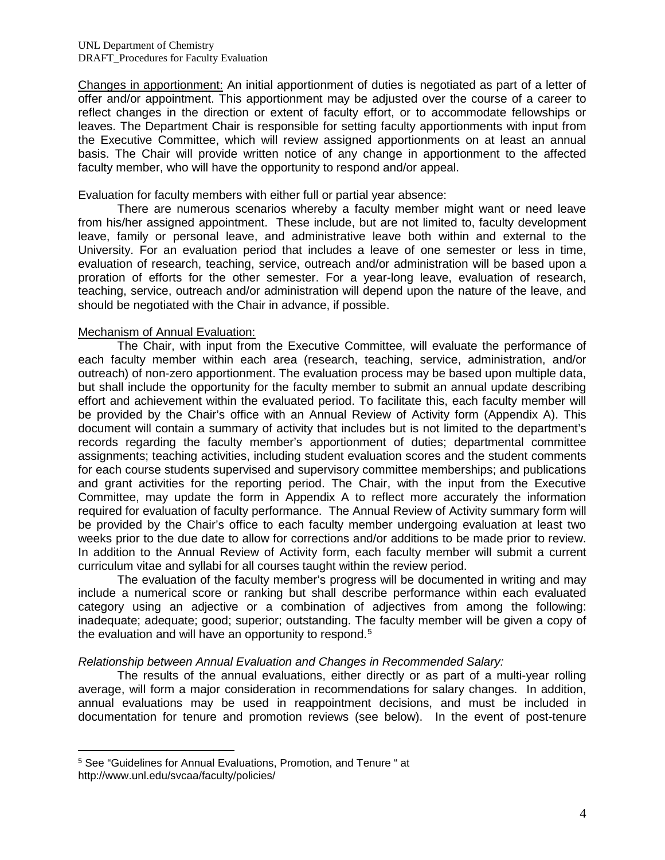Changes in apportionment: An initial apportionment of duties is negotiated as part of a letter of offer and/or appointment. This apportionment may be adjusted over the course of a career to reflect changes in the direction or extent of faculty effort, or to accommodate fellowships or leaves. The Department Chair is responsible for setting faculty apportionments with input from the Executive Committee, which will review assigned apportionments on at least an annual basis. The Chair will provide written notice of any change in apportionment to the affected faculty member, who will have the opportunity to respond and/or appeal.

Evaluation for faculty members with either full or partial year absence:

There are numerous scenarios whereby a faculty member might want or need leave from his/her assigned appointment. These include, but are not limited to, faculty development leave, family or personal leave, and administrative leave both within and external to the University. For an evaluation period that includes a leave of one semester or less in time, evaluation of research, teaching, service, outreach and/or administration will be based upon a proration of efforts for the other semester. For a year-long leave, evaluation of research, teaching, service, outreach and/or administration will depend upon the nature of the leave, and should be negotiated with the Chair in advance, if possible.

### Mechanism of Annual Evaluation:

The Chair, with input from the Executive Committee, will evaluate the performance of each faculty member within each area (research, teaching, service, administration, and/or outreach) of non-zero apportionment. The evaluation process may be based upon multiple data, but shall include the opportunity for the faculty member to submit an annual update describing effort and achievement within the evaluated period. To facilitate this, each faculty member will be provided by the Chair's office with an Annual Review of Activity form (Appendix A). This document will contain a summary of activity that includes but is not limited to the department's records regarding the faculty member's apportionment of duties; departmental committee assignments; teaching activities, including student evaluation scores and the student comments for each course students supervised and supervisory committee memberships; and publications and grant activities for the reporting period. The Chair, with the input from the Executive Committee, may update the form in Appendix A to reflect more accurately the information required for evaluation of faculty performance. The Annual Review of Activity summary form will be provided by the Chair's office to each faculty member undergoing evaluation at least two weeks prior to the due date to allow for corrections and/or additions to be made prior to review. In addition to the Annual Review of Activity form, each faculty member will submit a current curriculum vitae and syllabi for all courses taught within the review period.

The evaluation of the faculty member's progress will be documented in writing and may include a numerical score or ranking but shall describe performance within each evaluated category using an adjective or a combination of adjectives from among the following: inadequate; adequate; good; superior; outstanding. The faculty member will be given a copy of the evaluation and will have an opportunity to respond.<sup>[5](#page-3-0)</sup>

#### *Relationship between Annual Evaluation and Changes in Recommended Salary:*

The results of the annual evaluations, either directly or as part of a multi-year rolling average, will form a major consideration in recommendations for salary changes. In addition, annual evaluations may be used in reappointment decisions, and must be included in documentation for tenure and promotion reviews (see below). In the event of post-tenure

 $\overline{a}$ 

<span id="page-3-0"></span><sup>5</sup> See "Guidelines for Annual Evaluations, Promotion, and Tenure " at http://www.unl.edu/svcaa/faculty/policies/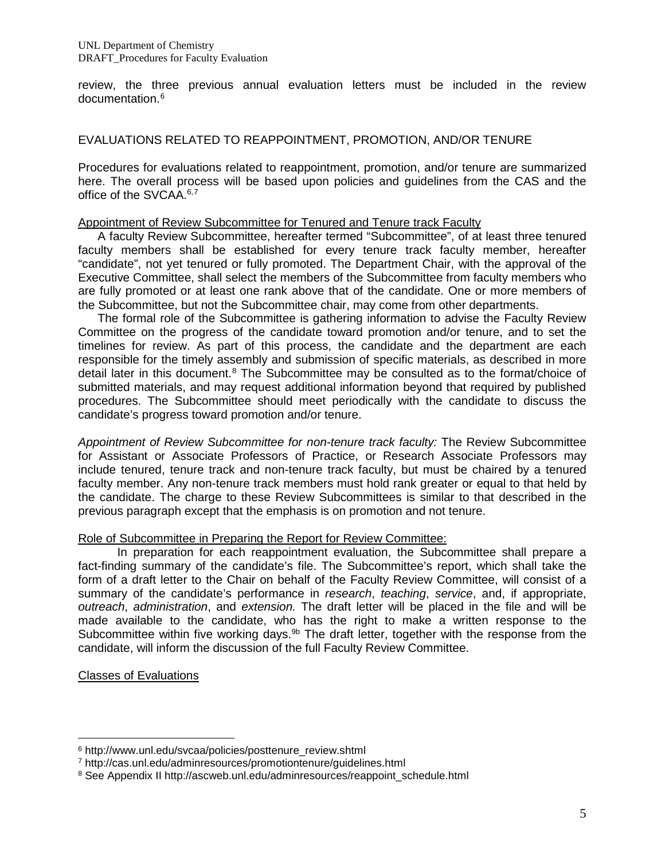review, the three previous annual evaluation letters must be included in the review documentation.[6](#page-4-0)

### EVALUATIONS RELATED TO REAPPOINTMENT, PROMOTION, AND/OR TENURE

Procedures for evaluations related to reappointment, promotion, and/or tenure are summarized here. The overall process will be based upon policies and guidelines from the CAS and the office of the SVCAA.<sup>6,[7](#page-4-1)</sup>

#### Appointment of Review Subcommittee for Tenured and Tenure track Faculty

A faculty Review Subcommittee, hereafter termed "Subcommittee", of at least three tenured faculty members shall be established for every tenure track faculty member, hereafter "candidate", not yet tenured or fully promoted. The Department Chair, with the approval of the Executive Committee, shall select the members of the Subcommittee from faculty members who are fully promoted or at least one rank above that of the candidate. One or more members of the Subcommittee, but not the Subcommittee chair, may come from other departments.

The formal role of the Subcommittee is gathering information to advise the Faculty Review Committee on the progress of the candidate toward promotion and/or tenure, and to set the timelines for review. As part of this process, the candidate and the department are each responsible for the timely assembly and submission of specific materials, as described in more detail later in this document.<sup>[8](#page-4-2)</sup> The Subcommittee may be consulted as to the format/choice of submitted materials, and may request additional information beyond that required by published procedures. The Subcommittee should meet periodically with the candidate to discuss the candidate's progress toward promotion and/or tenure.

*Appointment of Review Subcommittee for non-tenure track faculty:* The Review Subcommittee for Assistant or Associate Professors of Practice, or Research Associate Professors may include tenured, tenure track and non-tenure track faculty, but must be chaired by a tenured faculty member. Any non-tenure track members must hold rank greater or equal to that held by the candidate. The charge to these Review Subcommittees is similar to that described in the previous paragraph except that the emphasis is on promotion and not tenure.

#### Role of Subcommittee in Preparing the Report for Review Committee:

In preparation for each reappointment evaluation, the Subcommittee shall prepare a fact-finding summary of the candidate's file. The Subcommittee's report, which shall take the form of a draft letter to the Chair on behalf of the Faculty Review Committee, will consist of a summary of the candidate's performance in *research*, *teaching*, *service*, and, if appropriate, *outreach*, *administration*, and *extension.* The draft letter will be placed in the file and will be made available to the candidate, who has the right to make a written response to the Subcommittee within five working days.<sup>9b</sup> The draft letter, together with the response from the candidate, will inform the discussion of the full Faculty Review Committee.

Classes of Evaluations

<sup>&</sup>lt;sup>6</sup> http://www.unl.edu/svcaa/policies/posttenure\_review.shtml  $\overline{a}$ 

<span id="page-4-1"></span><span id="page-4-0"></span><sup>7</sup> http://cas.unl.edu/adminresources/promotiontenure/guidelines.html

<span id="page-4-2"></span><sup>8</sup> See Appendix II http://ascweb.unl.edu/adminresources/reappoint\_schedule.html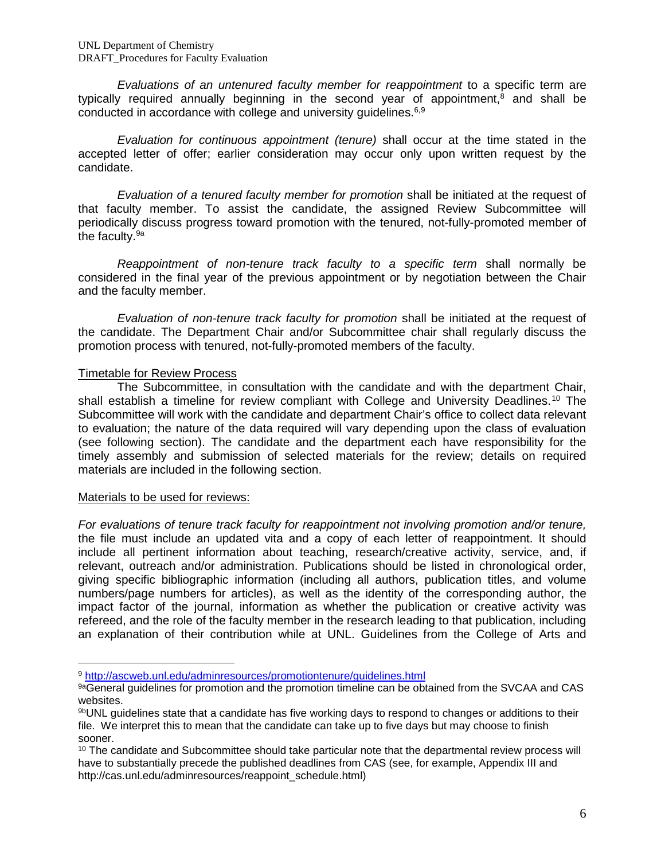*Evaluations of an untenured faculty member for reappointment* to a specific term are typically required annually beginning in the second year of appointment, $8$  and shall be conducted in accordance with college and university quidelines.<sup>6,[9](#page-5-0)</sup>

*Evaluation for continuous appointment (tenure)* shall occur at the time stated in the accepted letter of offer; earlier consideration may occur only upon written request by the candidate.

*Evaluation of a tenured faculty member for promotion* shall be initiated at the request of that faculty member. To assist the candidate, the assigned Review Subcommittee will periodically discuss progress toward promotion with the tenured, not-fully-promoted member of the faculty.9a

*Reappointment of non-tenure track faculty to a specific term* shall normally be considered in the final year of the previous appointment or by negotiation between the Chair and the faculty member.

*Evaluation of non-tenure track faculty for promotion* shall be initiated at the request of the candidate. The Department Chair and/or Subcommittee chair shall regularly discuss the promotion process with tenured, not-fully-promoted members of the faculty.

## Timetable for Review Process

The Subcommittee, in consultation with the candidate and with the department Chair, shall establish a timeline for review compliant with College and University Deadlines.<sup>[10](#page-5-1)</sup> The Subcommittee will work with the candidate and department Chair's office to collect data relevant to evaluation; the nature of the data required will vary depending upon the class of evaluation (see following section). The candidate and the department each have responsibility for the timely assembly and submission of selected materials for the review; details on required materials are included in the following section.

#### Materials to be used for reviews:

 $\overline{a}$ 

*For evaluations of tenure track faculty for reappointment not involving promotion and/or tenure,* the file must include an updated vita and a copy of each letter of reappointment. It should include all pertinent information about teaching, research/creative activity, service, and, if relevant, outreach and/or administration. Publications should be listed in chronological order, giving specific bibliographic information (including all authors, publication titles, and volume numbers/page numbers for articles), as well as the identity of the corresponding author, the impact factor of the journal, information as whether the publication or creative activity was refereed, and the role of the faculty member in the research leading to that publication, including an explanation of their contribution while at UNL. Guidelines from the College of Arts and

<span id="page-5-0"></span><sup>9</sup> <http://ascweb.unl.edu/adminresources/promotiontenure/guidelines.html>

<sup>9</sup>aGeneral guidelines for promotion and the promotion timeline can be obtained from the SVCAA and CAS websites.

<sup>9</sup>bUNL guidelines state that a candidate has five working days to respond to changes or additions to their file. We interpret this to mean that the candidate can take up to five days but may choose to finish sooner.

<span id="page-5-1"></span><sup>&</sup>lt;sup>10</sup> The candidate and Subcommittee should take particular note that the departmental review process will have to substantially precede the published deadlines from CAS (see, for example, Appendix III and http://cas.unl.edu/adminresources/reappoint\_schedule.html)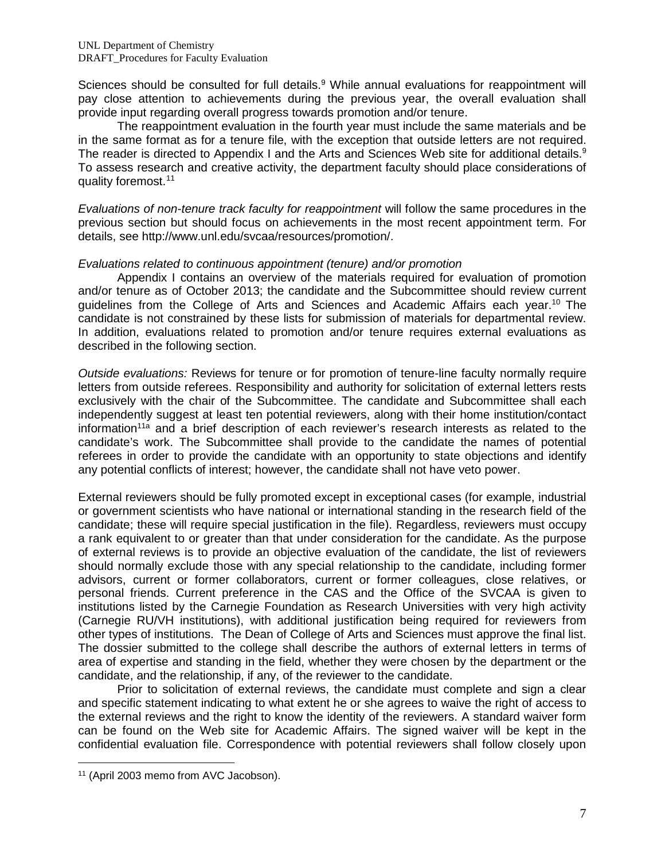Sciences should be consulted for full details.<sup>9</sup> While annual evaluations for reappointment will pay close attention to achievements during the previous year, the overall evaluation shall provide input regarding overall progress towards promotion and/or tenure.

The reappointment evaluation in the fourth year must include the same materials and be in the same format as for a tenure file, with the exception that outside letters are not required. The reader is directed to Appendix I and the Arts and Sciences Web site for additional details.<sup>9</sup> To assess research and creative activity, the department faculty should place considerations of quality foremost.[11](#page-6-0)

*Evaluations of non-tenure track faculty for reappointment* will follow the same procedures in the previous section but should focus on achievements in the most recent appointment term. For details, see http://www.unl.edu/svcaa/resources/promotion/.

### *Evaluations related to continuous appointment (tenure) and/or promotion*

Appendix I contains an overview of the materials required for evaluation of promotion and/or tenure as of October 2013; the candidate and the Subcommittee should review current guidelines from the College of Arts and Sciences and Academic Affairs each year.<sup>10</sup> The candidate is not constrained by these lists for submission of materials for departmental review. In addition, evaluations related to promotion and/or tenure requires external evaluations as described in the following section.

*Outside evaluations:* Reviews for tenure or for promotion of tenure-line faculty normally require letters from outside referees. Responsibility and authority for solicitation of external letters rests exclusively with the chair of the Subcommittee. The candidate and Subcommittee shall each independently suggest at least ten potential reviewers, along with their home institution/contact information<sup>11a</sup> and a brief description of each reviewer's research interests as related to the candidate's work. The Subcommittee shall provide to the candidate the names of potential referees in order to provide the candidate with an opportunity to state objections and identify any potential conflicts of interest; however, the candidate shall not have veto power.

External reviewers should be fully promoted except in exceptional cases (for example, industrial or government scientists who have national or international standing in the research field of the candidate; these will require special justification in the file). Regardless, reviewers must occupy a rank equivalent to or greater than that under consideration for the candidate. As the purpose of external reviews is to provide an objective evaluation of the candidate, the list of reviewers should normally exclude those with any special relationship to the candidate, including former advisors, current or former collaborators, current or former colleagues, close relatives, or personal friends. Current preference in the CAS and the Office of the SVCAA is given to institutions listed by the Carnegie Foundation as Research Universities with very high activity (Carnegie RU/VH institutions), with additional justification being required for reviewers from other types of institutions. The Dean of College of Arts and Sciences must approve the final list. The dossier submitted to the college shall describe the authors of external letters in terms of area of expertise and standing in the field, whether they were chosen by the department or the candidate, and the relationship, if any, of the reviewer to the candidate.

Prior to solicitation of external reviews, the candidate must complete and sign a clear and specific statement indicating to what extent he or she agrees to waive the right of access to the external reviews and the right to know the identity of the reviewers. A standard waiver form can be found on the Web site for Academic Affairs. The signed waiver will be kept in the confidential evaluation file. Correspondence with potential reviewers shall follow closely upon

 $\overline{a}$ 

<span id="page-6-0"></span><sup>11</sup> (April 2003 memo from AVC Jacobson).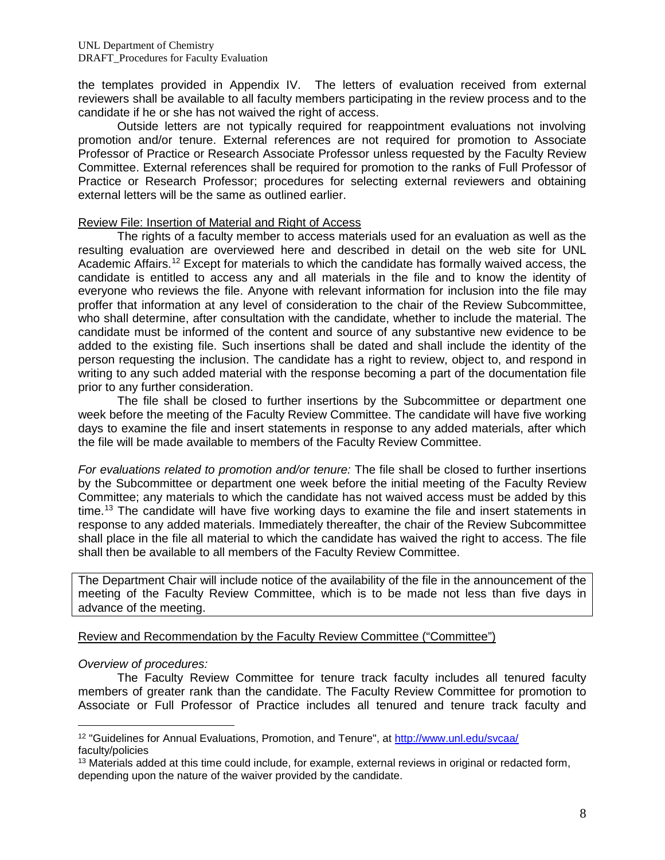the templates provided in Appendix IV. The letters of evaluation received from external reviewers shall be available to all faculty members participating in the review process and to the candidate if he or she has not waived the right of access.

Outside letters are not typically required for reappointment evaluations not involving promotion and/or tenure. External references are not required for promotion to Associate Professor of Practice or Research Associate Professor unless requested by the Faculty Review Committee. External references shall be required for promotion to the ranks of Full Professor of Practice or Research Professor; procedures for selecting external reviewers and obtaining external letters will be the same as outlined earlier.

#### Review File: Insertion of Material and Right of Access

The rights of a faculty member to access materials used for an evaluation as well as the resulting evaluation are overviewed here and described in detail on the web site for UNL Academic Affairs.<sup>[12](#page-7-0)</sup> Except for materials to which the candidate has formally waived access, the candidate is entitled to access any and all materials in the file and to know the identity of everyone who reviews the file. Anyone with relevant information for inclusion into the file may proffer that information at any level of consideration to the chair of the Review Subcommittee, who shall determine, after consultation with the candidate, whether to include the material. The candidate must be informed of the content and source of any substantive new evidence to be added to the existing file. Such insertions shall be dated and shall include the identity of the person requesting the inclusion. The candidate has a right to review, object to, and respond in writing to any such added material with the response becoming a part of the documentation file prior to any further consideration.

The file shall be closed to further insertions by the Subcommittee or department one week before the meeting of the Faculty Review Committee. The candidate will have five working days to examine the file and insert statements in response to any added materials, after which the file will be made available to members of the Faculty Review Committee.

*For evaluations related to promotion and/or tenure:* The file shall be closed to further insertions by the Subcommittee or department one week before the initial meeting of the Faculty Review Committee; any materials to which the candidate has not waived access must be added by this time.<sup>[13](#page-7-1)</sup> The candidate will have five working days to examine the file and insert statements in response to any added materials. Immediately thereafter, the chair of the Review Subcommittee shall place in the file all material to which the candidate has waived the right to access. The file shall then be available to all members of the Faculty Review Committee.

The Department Chair will include notice of the availability of the file in the announcement of the meeting of the Faculty Review Committee, which is to be made not less than five days in advance of the meeting.

## Review and Recommendation by the Faculty Review Committee ("Committee")

## *Overview of procedures:*

 $\overline{a}$ 

The Faculty Review Committee for tenure track faculty includes all tenured faculty members of greater rank than the candidate. The Faculty Review Committee for promotion to Associate or Full Professor of Practice includes all tenured and tenure track faculty and

<span id="page-7-0"></span><sup>12</sup> "Guidelines for Annual Evaluations, Promotion, and Tenure", at<http://www.unl.edu/svcaa/> faculty/policies

<span id="page-7-1"></span><sup>&</sup>lt;sup>13</sup> Materials added at this time could include, for example, external reviews in original or redacted form, depending upon the nature of the waiver provided by the candidate.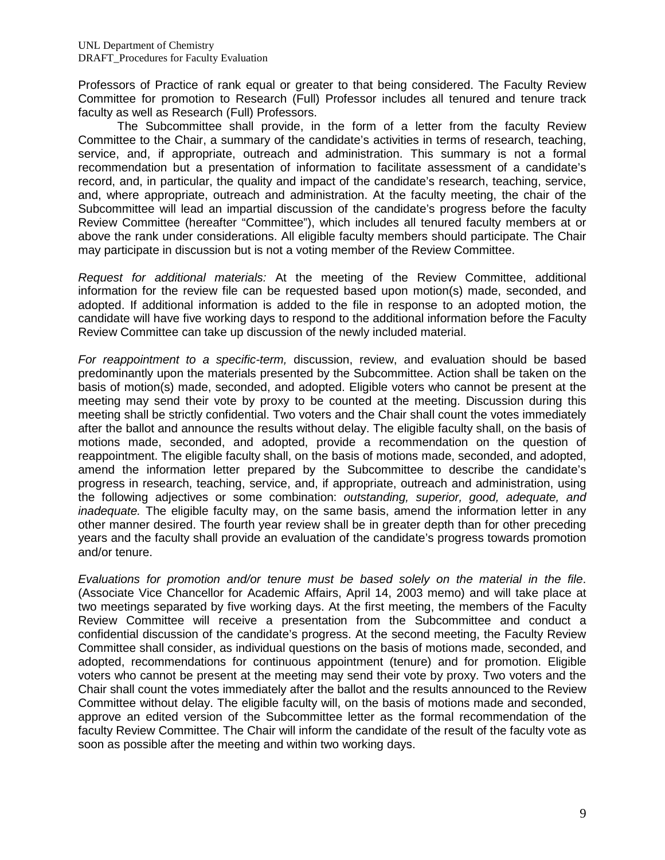Professors of Practice of rank equal or greater to that being considered. The Faculty Review Committee for promotion to Research (Full) Professor includes all tenured and tenure track faculty as well as Research (Full) Professors.

The Subcommittee shall provide, in the form of a letter from the faculty Review Committee to the Chair, a summary of the candidate's activities in terms of research, teaching, service, and, if appropriate, outreach and administration. This summary is not a formal recommendation but a presentation of information to facilitate assessment of a candidate's record, and, in particular, the quality and impact of the candidate's research, teaching, service, and, where appropriate, outreach and administration. At the faculty meeting, the chair of the Subcommittee will lead an impartial discussion of the candidate's progress before the faculty Review Committee (hereafter "Committee"), which includes all tenured faculty members at or above the rank under considerations. All eligible faculty members should participate. The Chair may participate in discussion but is not a voting member of the Review Committee.

*Request for additional materials:* At the meeting of the Review Committee, additional information for the review file can be requested based upon motion(s) made, seconded, and adopted. If additional information is added to the file in response to an adopted motion, the candidate will have five working days to respond to the additional information before the Faculty Review Committee can take up discussion of the newly included material.

*For reappointment to a specific-term,* discussion, review, and evaluation should be based predominantly upon the materials presented by the Subcommittee. Action shall be taken on the basis of motion(s) made, seconded, and adopted. Eligible voters who cannot be present at the meeting may send their vote by proxy to be counted at the meeting. Discussion during this meeting shall be strictly confidential. Two voters and the Chair shall count the votes immediately after the ballot and announce the results without delay. The eligible faculty shall, on the basis of motions made, seconded, and adopted, provide a recommendation on the question of reappointment. The eligible faculty shall, on the basis of motions made, seconded, and adopted, amend the information letter prepared by the Subcommittee to describe the candidate's progress in research, teaching, service, and, if appropriate, outreach and administration, using the following adjectives or some combination: *outstanding, superior, good, adequate, and inadequate.* The eligible faculty may, on the same basis, amend the information letter in any other manner desired. The fourth year review shall be in greater depth than for other preceding years and the faculty shall provide an evaluation of the candidate's progress towards promotion and/or tenure.

*Evaluations for promotion and/or tenure must be based solely on the material in the file*. (Associate Vice Chancellor for Academic Affairs, April 14, 2003 memo) and will take place at two meetings separated by five working days. At the first meeting, the members of the Faculty Review Committee will receive a presentation from the Subcommittee and conduct a confidential discussion of the candidate's progress. At the second meeting, the Faculty Review Committee shall consider, as individual questions on the basis of motions made, seconded, and adopted, recommendations for continuous appointment (tenure) and for promotion. Eligible voters who cannot be present at the meeting may send their vote by proxy. Two voters and the Chair shall count the votes immediately after the ballot and the results announced to the Review Committee without delay. The eligible faculty will, on the basis of motions made and seconded, approve an edited version of the Subcommittee letter as the formal recommendation of the faculty Review Committee. The Chair will inform the candidate of the result of the faculty vote as soon as possible after the meeting and within two working days.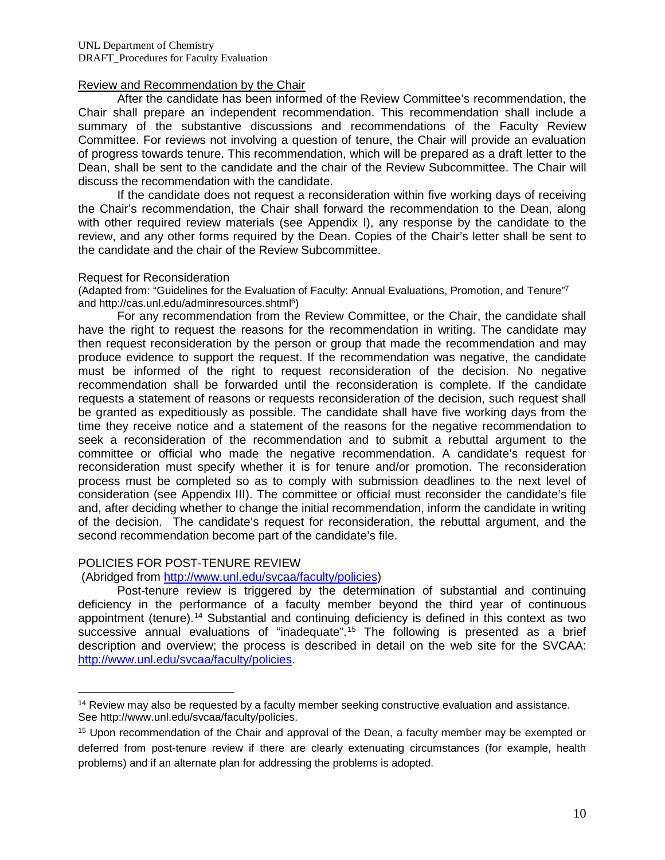### Review and Recommendation by the Chair

After the candidate has been informed of the Review Committee's recommendation, the Chair shall prepare an independent recommendation. This recommendation shall include a summary of the substantive discussions and recommendations of the Faculty Review Committee. For reviews not involving a question of tenure, the Chair will provide an evaluation of progress towards tenure. This recommendation, which will be prepared as a draft letter to the Dean, shall be sent to the candidate and the chair of the Review Subcommittee. The Chair will discuss the recommendation with the candidate.

If the candidate does not request a reconsideration within five working days of receiving the Chair's recommendation, the Chair shall forward the recommendation to the Dean, along with other required review materials (see Appendix I), any response by the candidate to the review, and any other forms required by the Dean. Copies of the Chair's letter shall be sent to the candidate and the chair of the Review Subcommittee.

#### Request for Reconsideration

(Adapted from: "Guidelines for the Evaluation of Faculty: Annual Evaluations, Promotion, and Tenure"7 and http://cas.unl.edu/adminresources.shtml6)

For any recommendation from the Review Committee, or the Chair, the candidate shall have the right to request the reasons for the recommendation in writing. The candidate may then request reconsideration by the person or group that made the recommendation and may produce evidence to support the request. If the recommendation was negative, the candidate must be informed of the right to request reconsideration of the decision. No negative recommendation shall be forwarded until the reconsideration is complete. If the candidate requests a statement of reasons or requests reconsideration of the decision, such request shall be granted as expeditiously as possible. The candidate shall have five working days from the time they receive notice and a statement of the reasons for the negative recommendation to seek a reconsideration of the recommendation and to submit a rebuttal argument to the committee or official who made the negative recommendation. A candidate's request for reconsideration must specify whether it is for tenure and/or promotion. The reconsideration process must be completed so as to comply with submission deadlines to the next level of consideration (see Appendix III). The committee or official must reconsider the candidate's file and, after deciding whether to change the initial recommendation, inform the candidate in writing of the decision. The candidate's request for reconsideration, the rebuttal argument, and the second recommendation become part of the candidate's file.

#### POLICIES FOR POST-TENURE REVIEW

(Abridged from [http://www.unl.edu/svcaa/faculty/policies\)](http://www.unl.edu/svcaa/faculty/policies)

Post-tenure review is triggered by the determination of substantial and continuing deficiency in the performance of a faculty member beyond the third year of continuous appointment (tenure).[14](#page-9-0) Substantial and continuing deficiency is defined in this context as two successive annual evaluations of "inadequate".<sup>[15](#page-9-1)</sup> The following is presented as a brief description and overview; the process is described in detail on the web site for the SVCAA: [http://www.unl.edu/svcaa/faculty/policies.](http://www.unl.edu/svcaa/faculty/policies)

<span id="page-9-0"></span><sup>&</sup>lt;sup>14</sup> Review may also be requested by a faculty member seeking constructive evaluation and assistance. See http://www.unl.edu/svcaa/faculty/policies.  $\overline{a}$ 

<span id="page-9-1"></span><sup>15</sup> Upon recommendation of the Chair and approval of the Dean, a faculty member may be exempted or deferred from post-tenure review if there are clearly extenuating circumstances (for example, health problems) and if an alternate plan for addressing the problems is adopted.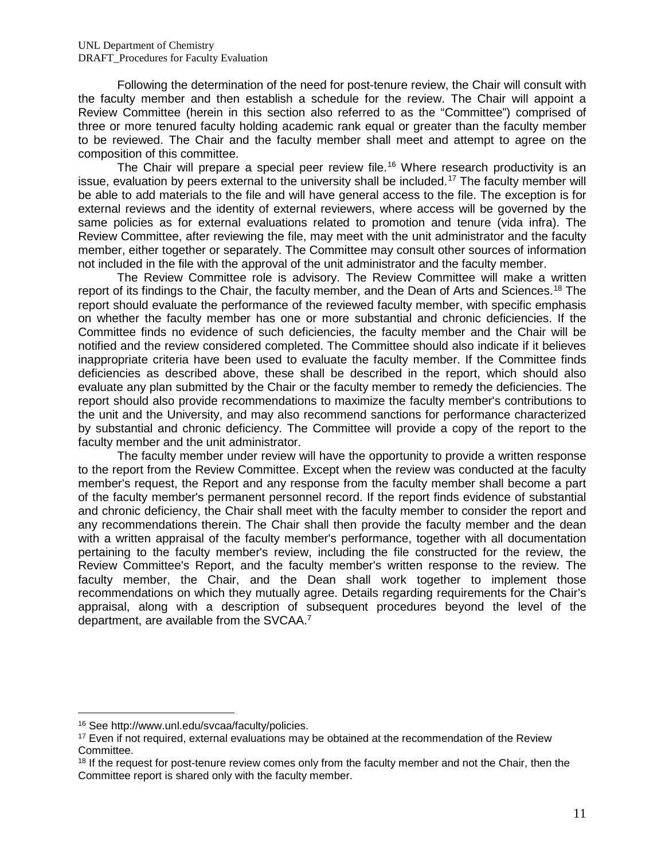Following the determination of the need for post-tenure review, the Chair will consult with the faculty member and then establish a schedule for the review. The Chair will appoint a Review Committee (herein in this section also referred to as the "Committee") comprised of three or more tenured faculty holding academic rank equal or greater than the faculty member to be reviewed. The Chair and the faculty member shall meet and attempt to agree on the composition of this committee.

The Chair will prepare a special peer review file.<sup>[16](#page-10-0)</sup> Where research productivity is an issue, evaluation by peers external to the university shall be included.<sup>[17](#page-10-1)</sup> The faculty member will be able to add materials to the file and will have general access to the file. The exception is for external reviews and the identity of external reviewers, where access will be governed by the same policies as for external evaluations related to promotion and tenure (vida infra). The Review Committee, after reviewing the file, may meet with the unit administrator and the faculty member, either together or separately. The Committee may consult other sources of information not included in the file with the approval of the unit administrator and the faculty member.

The Review Committee role is advisory. The Review Committee will make a written report of its findings to the Chair, the faculty member, and the Dean of Arts and Sciences.<sup>[18](#page-10-2)</sup> The report should evaluate the performance of the reviewed faculty member, with specific emphasis on whether the faculty member has one or more substantial and chronic deficiencies. If the Committee finds no evidence of such deficiencies, the faculty member and the Chair will be notified and the review considered completed. The Committee should also indicate if it believes inappropriate criteria have been used to evaluate the faculty member. If the Committee finds deficiencies as described above, these shall be described in the report, which should also evaluate any plan submitted by the Chair or the faculty member to remedy the deficiencies. The report should also provide recommendations to maximize the faculty member's contributions to the unit and the University, and may also recommend sanctions for performance characterized by substantial and chronic deficiency. The Committee will provide a copy of the report to the faculty member and the unit administrator.

The faculty member under review will have the opportunity to provide a written response to the report from the Review Committee. Except when the review was conducted at the faculty member's request, the Report and any response from the faculty member shall become a part of the faculty member's permanent personnel record. If the report finds evidence of substantial and chronic deficiency, the Chair shall meet with the faculty member to consider the report and any recommendations therein. The Chair shall then provide the faculty member and the dean with a written appraisal of the faculty member's performance, together with all documentation pertaining to the faculty member's review, including the file constructed for the review, the Review Committee's Report, and the faculty member's written response to the review. The faculty member, the Chair, and the Dean shall work together to implement those recommendations on which they mutually agree. Details regarding requirements for the Chair's appraisal, along with a description of subsequent procedures beyond the level of the department, are available from the SVCAA.<sup>7</sup>

 $\overline{a}$ 

<span id="page-10-0"></span><sup>16</sup> See http://www.unl.edu/svcaa/faculty/policies.

<span id="page-10-1"></span><sup>&</sup>lt;sup>17</sup> Even if not required, external evaluations may be obtained at the recommendation of the Review Committee.

<span id="page-10-2"></span><sup>&</sup>lt;sup>18</sup> If the request for post-tenure review comes only from the faculty member and not the Chair, then the Committee report is shared only with the faculty member.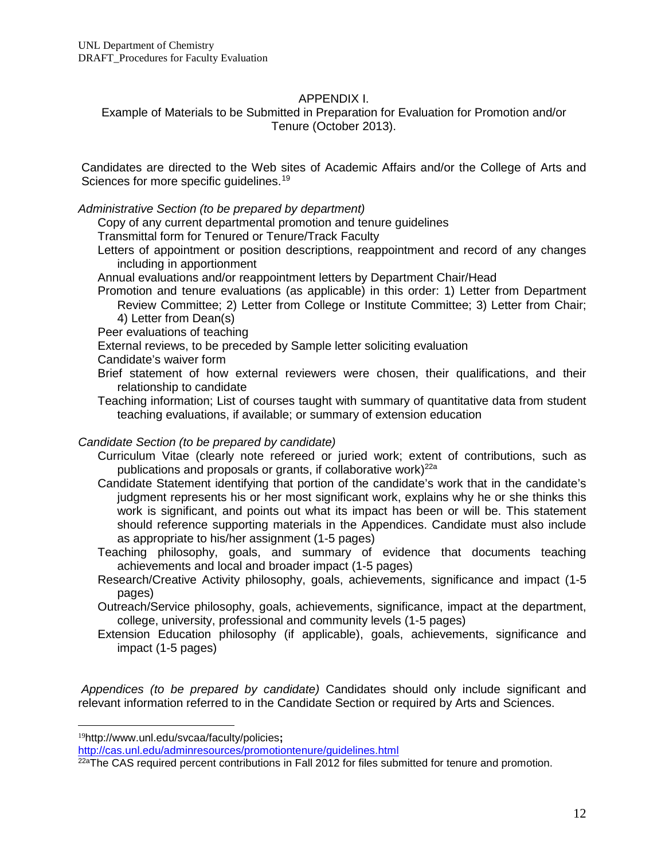## APPENDIX I.

Example of Materials to be Submitted in Preparation for Evaluation for Promotion and/or Tenure (October 2013).

Candidates are directed to the Web sites of Academic Affairs and/or the College of Arts and Sciences for more specific quidelines.<sup>[19](#page-11-0)</sup>

### *Administrative Section (to be prepared by department)*

Copy of any current departmental promotion and tenure guidelines

Transmittal form for Tenured or Tenure/Track Faculty

Letters of appointment or position descriptions, reappointment and record of any changes including in apportionment

Annual evaluations and/or reappointment letters by Department Chair/Head

Promotion and tenure evaluations (as applicable) in this order: 1) Letter from Department Review Committee; 2) Letter from College or Institute Committee; 3) Letter from Chair; 4) Letter from Dean(s)

Peer evaluations of teaching

External reviews, to be preceded by Sample letter soliciting evaluation

- Candidate's waiver form
- Brief statement of how external reviewers were chosen, their qualifications, and their relationship to candidate
- Teaching information; List of courses taught with summary of quantitative data from student teaching evaluations, if available; or summary of extension education

## *Candidate Section (to be prepared by candidate)*

- Curriculum Vitae (clearly note refereed or juried work; extent of contributions, such as publications and proposals or grants, if collaborative work)<sup>22a</sup>
- Candidate Statement identifying that portion of the candidate's work that in the candidate's judgment represents his or her most significant work, explains why he or she thinks this work is significant, and points out what its impact has been or will be. This statement should reference supporting materials in the Appendices. Candidate must also include as appropriate to his/her assignment (1-5 pages)
- Teaching philosophy, goals, and summary of evidence that documents teaching achievements and local and broader impact (1-5 pages)
- Research/Creative Activity philosophy, goals, achievements, significance and impact (1-5 pages)
- Outreach/Service philosophy, goals, achievements, significance, impact at the department, college, university, professional and community levels (1-5 pages)
- Extension Education philosophy (if applicable), goals, achievements, significance and impact (1-5 pages)

*Appendices (to be prepared by candidate)* Candidates should only include significant and relevant information referred to in the Candidate Section or required by Arts and Sciences.

 $\overline{a}$ 

<span id="page-11-0"></span><sup>19</sup>http://www.unl.edu/svcaa/faculty/policies**;** 

<http://cas.unl.edu/adminresources/promotiontenure/guidelines.html>

<sup>22</sup>aThe CAS required percent contributions in Fall 2012 for files submitted for tenure and promotion.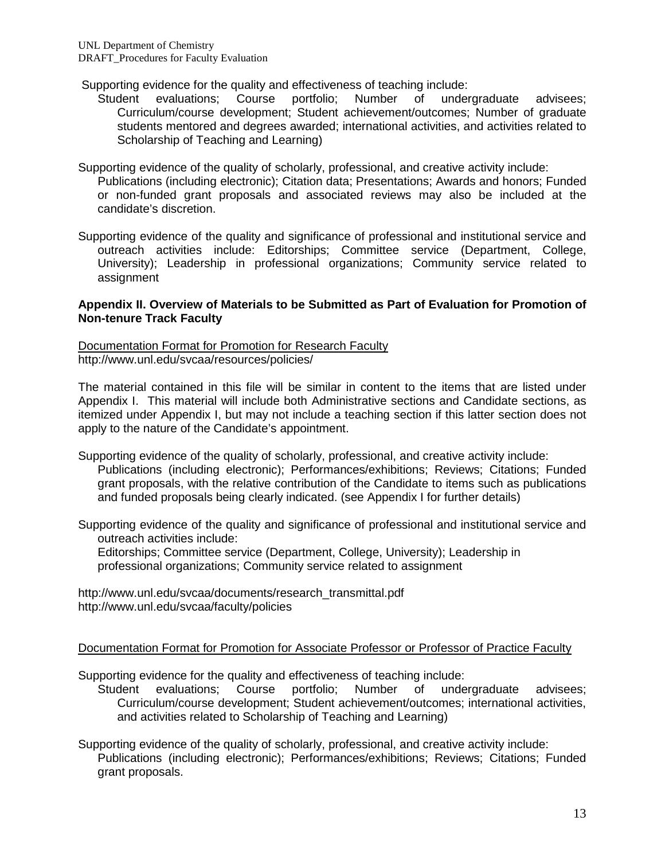- Supporting evidence for the quality and effectiveness of teaching include:
	- Student evaluations; Course portfolio; Number of undergraduate advisees; Curriculum/course development; Student achievement/outcomes; Number of graduate students mentored and degrees awarded; international activities, and activities related to Scholarship of Teaching and Learning)
- Supporting evidence of the quality of scholarly, professional, and creative activity include:
	- Publications (including electronic); Citation data; Presentations; Awards and honors; Funded or non-funded grant proposals and associated reviews may also be included at the candidate's discretion.
- Supporting evidence of the quality and significance of professional and institutional service and outreach activities include: Editorships; Committee service (Department, College, University); Leadership in professional organizations; Community service related to assignment

### **Appendix II. Overview of Materials to be Submitted as Part of Evaluation for Promotion of Non-tenure Track Faculty**

Documentation Format for Promotion for Research Faculty http://www.unl.edu/svcaa/resources/policies/

The material contained in this file will be similar in content to the items that are listed under Appendix I. This material will include both Administrative sections and Candidate sections, as itemized under Appendix I, but may not include a teaching section if this latter section does not apply to the nature of the Candidate's appointment.

- Supporting evidence of the quality of scholarly, professional, and creative activity include: Publications (including electronic); Performances/exhibitions; Reviews; Citations; Funded grant proposals, with the relative contribution of the Candidate to items such as publications and funded proposals being clearly indicated. (see Appendix I for further details)
- Supporting evidence of the quality and significance of professional and institutional service and outreach activities include:

Editorships; Committee service (Department, College, University); Leadership in professional organizations; Community service related to assignment

[http://www.unl.edu/svcaa/documents/research\\_transmittal.pdf](http://www.unl.edu/svcaa/documents/research_transmittal.pdf) http://www.unl.edu/svcaa/faculty/policies

## Documentation Format for Promotion for Associate Professor or Professor of Practice Faculty

Supporting evidence for the quality and effectiveness of teaching include:

Student evaluations; Course portfolio; Number of undergraduate advisees; Curriculum/course development; Student achievement/outcomes; international activities, and activities related to Scholarship of Teaching and Learning)

Supporting evidence of the quality of scholarly, professional, and creative activity include: Publications (including electronic); Performances/exhibitions; Reviews; Citations; Funded grant proposals.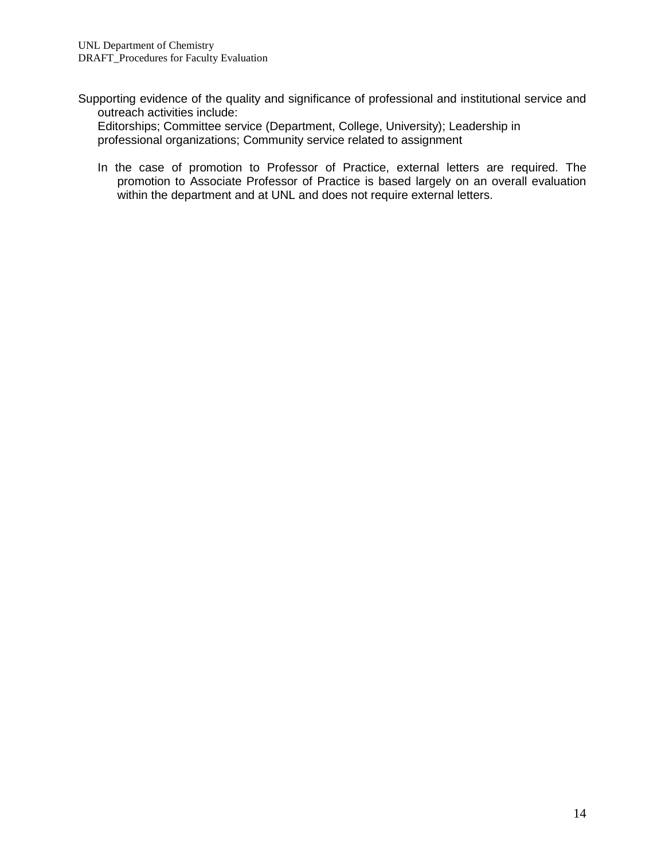Supporting evidence of the quality and significance of professional and institutional service and outreach activities include:

Editorships; Committee service (Department, College, University); Leadership in professional organizations; Community service related to assignment

In the case of promotion to Professor of Practice, external letters are required. The promotion to Associate Professor of Practice is based largely on an overall evaluation within the department and at UNL and does not require external letters.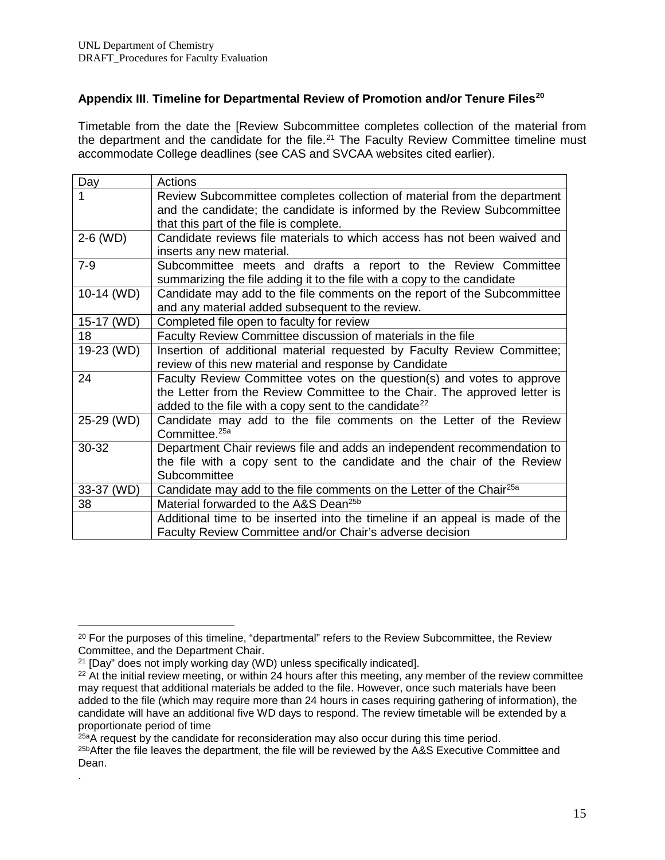# **Appendix III**. **Timeline for Departmental Review of Promotion and/or Tenure Files[20](#page-14-0)**

Timetable from the date the [Review Subcommittee completes collection of the material from the department and the candidate for the file.<sup>[21](#page-14-1)</sup> The Faculty Review Committee timeline must accommodate College deadlines (see CAS and SVCAA websites cited earlier).

| Day        | Actions                                                                          |
|------------|----------------------------------------------------------------------------------|
|            | Review Subcommittee completes collection of material from the department         |
|            | and the candidate; the candidate is informed by the Review Subcommittee          |
|            | that this part of the file is complete.                                          |
| 2-6 (WD)   | Candidate reviews file materials to which access has not been waived and         |
|            | inserts any new material.                                                        |
| $7 - 9$    | Subcommittee meets and drafts a report to the Review Committee                   |
|            | summarizing the file adding it to the file with a copy to the candidate          |
| 10-14 (WD) | Candidate may add to the file comments on the report of the Subcommittee         |
|            | and any material added subsequent to the review.                                 |
| 15-17 (WD) | Completed file open to faculty for review                                        |
| 18         | Faculty Review Committee discussion of materials in the file                     |
| 19-23 (WD) | Insertion of additional material requested by Faculty Review Committee;          |
|            | review of this new material and response by Candidate                            |
| 24         | Faculty Review Committee votes on the question(s) and votes to approve           |
|            | the Letter from the Review Committee to the Chair. The approved letter is        |
|            | added to the file with a copy sent to the candidate <sup>22</sup>                |
| 25-29 (WD) | Candidate may add to the file comments on the Letter of the Review               |
|            | Committee. <sup>25a</sup>                                                        |
| 30-32      | Department Chair reviews file and adds an independent recommendation to          |
|            | the file with a copy sent to the candidate and the chair of the Review           |
|            | Subcommittee                                                                     |
| 33-37 (WD) | Candidate may add to the file comments on the Letter of the Chair <sup>25a</sup> |
| 38         | Material forwarded to the A&S Dean <sup>25b</sup>                                |
|            | Additional time to be inserted into the timeline if an appeal is made of the     |
|            | Faculty Review Committee and/or Chair's adverse decision                         |

.

25aA request by the candidate for reconsideration may also occur during this time period.

<span id="page-14-0"></span><sup>&</sup>lt;sup>20</sup> For the purposes of this timeline, "departmental" refers to the Review Subcommittee, the Review Committee, and the Department Chair.  $\overline{a}$ 

<span id="page-14-1"></span><sup>&</sup>lt;sup>21</sup> [Day" does not imply working day (WD) unless specifically indicated].

<span id="page-14-2"></span><sup>&</sup>lt;sup>22</sup> At the initial review meeting, or within 24 hours after this meeting, any member of the review committee may request that additional materials be added to the file. However, once such materials have been added to the file (which may require more than 24 hours in cases requiring gathering of information), the candidate will have an additional five WD days to respond. The review timetable will be extended by a proportionate period of time

<sup>&</sup>lt;sup>25b</sup>After the file leaves the department, the file will be reviewed by the A&S Executive Committee and Dean.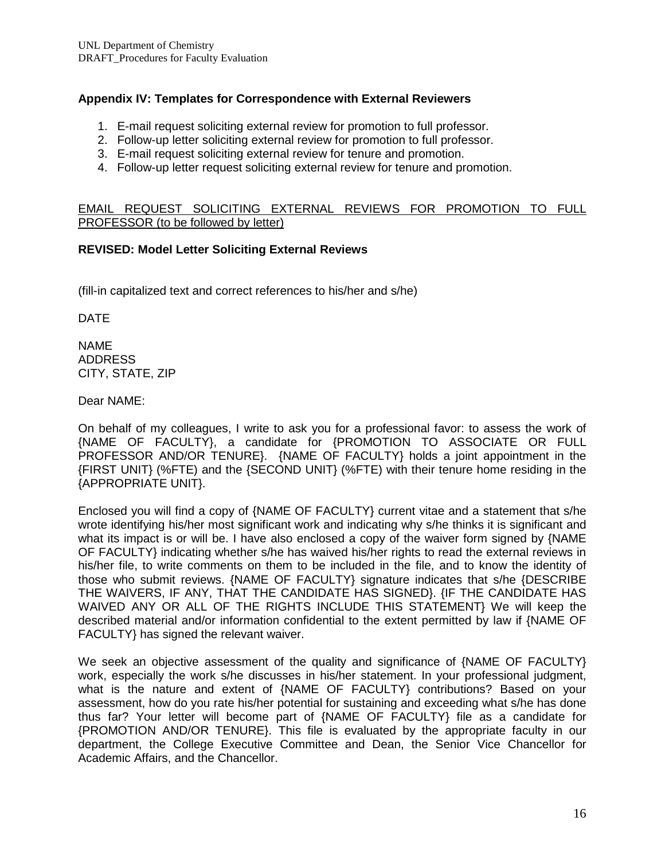# **Appendix IV: Templates for Correspondence with External Reviewers**

- 1. E-mail request soliciting external review for promotion to full professor.
- 2. Follow-up letter soliciting external review for promotion to full professor.
- 3. E-mail request soliciting external review for tenure and promotion.
- 4. Follow-up letter request soliciting external review for tenure and promotion.

### EMAIL REQUEST SOLICITING EXTERNAL REVIEWS FOR PROMOTION TO FULL PROFESSOR (to be followed by letter)

## **REVISED: Model Letter Soliciting External Reviews**

(fill-in capitalized text and correct references to his/her and s/he)

DATE

NAME ADDRESS CITY, STATE, ZIP

Dear NAME:

On behalf of my colleagues, I write to ask you for a professional favor: to assess the work of {NAME OF FACULTY}, a candidate for {PROMOTION TO ASSOCIATE OR FULL PROFESSOR AND/OR TENURE}. {NAME OF FACULTY} holds a joint appointment in the {FIRST UNIT} (%FTE) and the {SECOND UNIT} (%FTE) with their tenure home residing in the {APPROPRIATE UNIT}.

Enclosed you will find a copy of {NAME OF FACULTY} current vitae and a statement that s/he wrote identifying his/her most significant work and indicating why s/he thinks it is significant and what its impact is or will be. I have also enclosed a copy of the waiver form signed by {NAME OF FACULTY} indicating whether s/he has waived his/her rights to read the external reviews in his/her file, to write comments on them to be included in the file, and to know the identity of those who submit reviews. {NAME OF FACULTY} signature indicates that s/he {DESCRIBE THE WAIVERS, IF ANY, THAT THE CANDIDATE HAS SIGNED}. {IF THE CANDIDATE HAS WAIVED ANY OR ALL OF THE RIGHTS INCLUDE THIS STATEMENT} We will keep the described material and/or information confidential to the extent permitted by law if {NAME OF FACULTY} has signed the relevant waiver.

We seek an objective assessment of the quality and significance of {NAME OF FACULTY} work, especially the work s/he discusses in his/her statement. In your professional judgment, what is the nature and extent of {NAME OF FACULTY} contributions? Based on your assessment, how do you rate his/her potential for sustaining and exceeding what s/he has done thus far? Your letter will become part of {NAME OF FACULTY} file as a candidate for {PROMOTION AND/OR TENURE}. This file is evaluated by the appropriate faculty in our department, the College Executive Committee and Dean, the Senior Vice Chancellor for Academic Affairs, and the Chancellor.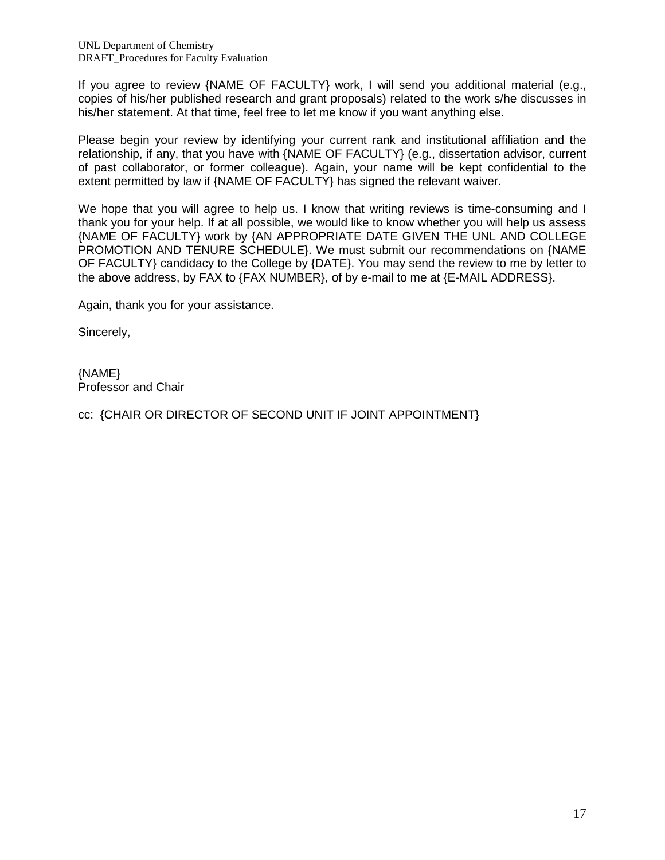If you agree to review {NAME OF FACULTY} work, I will send you additional material (e.g., copies of his/her published research and grant proposals) related to the work s/he discusses in his/her statement. At that time, feel free to let me know if you want anything else.

Please begin your review by identifying your current rank and institutional affiliation and the relationship, if any, that you have with {NAME OF FACULTY} (e.g., dissertation advisor, current of past collaborator, or former colleague). Again, your name will be kept confidential to the extent permitted by law if {NAME OF FACULTY} has signed the relevant waiver.

We hope that you will agree to help us. I know that writing reviews is time-consuming and I thank you for your help. If at all possible, we would like to know whether you will help us assess {NAME OF FACULTY} work by {AN APPROPRIATE DATE GIVEN THE UNL AND COLLEGE PROMOTION AND TENURE SCHEDULE}. We must submit our recommendations on {NAME OF FACULTY} candidacy to the College by {DATE}. You may send the review to me by letter to the above address, by FAX to {FAX NUMBER}, of by e-mail to me at {E-MAIL ADDRESS}.

Again, thank you for your assistance.

Sincerely,

{NAME} Professor and Chair

cc: {CHAIR OR DIRECTOR OF SECOND UNIT IF JOINT APPOINTMENT}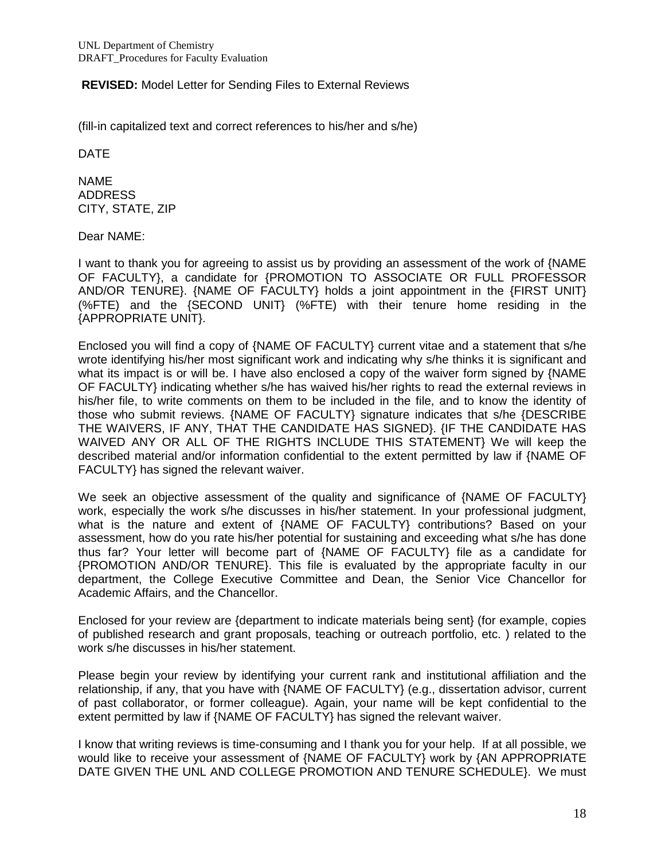## **REVISED:** Model Letter for Sending Files to External Reviews

(fill-in capitalized text and correct references to his/her and s/he)

DATE

NAME ADDRESS CITY, STATE, ZIP

Dear NAME:

I want to thank you for agreeing to assist us by providing an assessment of the work of {NAME OF FACULTY}, a candidate for {PROMOTION TO ASSOCIATE OR FULL PROFESSOR AND/OR TENURE}. {NAME OF FACULTY} holds a joint appointment in the {FIRST UNIT} (%FTE) and the {SECOND UNIT} (%FTE) with their tenure home residing in the {APPROPRIATE UNIT}.

Enclosed you will find a copy of {NAME OF FACULTY} current vitae and a statement that s/he wrote identifying his/her most significant work and indicating why s/he thinks it is significant and what its impact is or will be. I have also enclosed a copy of the waiver form signed by {NAME OF FACULTY} indicating whether s/he has waived his/her rights to read the external reviews in his/her file, to write comments on them to be included in the file, and to know the identity of those who submit reviews. {NAME OF FACULTY} signature indicates that s/he {DESCRIBE THE WAIVERS, IF ANY, THAT THE CANDIDATE HAS SIGNED}. {IF THE CANDIDATE HAS WAIVED ANY OR ALL OF THE RIGHTS INCLUDE THIS STATEMENT} We will keep the described material and/or information confidential to the extent permitted by law if {NAME OF FACULTY} has signed the relevant waiver.

We seek an objective assessment of the quality and significance of {NAME OF FACULTY} work, especially the work s/he discusses in his/her statement. In your professional judgment, what is the nature and extent of {NAME OF FACULTY} contributions? Based on your assessment, how do you rate his/her potential for sustaining and exceeding what s/he has done thus far? Your letter will become part of {NAME OF FACULTY} file as a candidate for {PROMOTION AND/OR TENURE}. This file is evaluated by the appropriate faculty in our department, the College Executive Committee and Dean, the Senior Vice Chancellor for Academic Affairs, and the Chancellor.

Enclosed for your review are {department to indicate materials being sent} (for example, copies of published research and grant proposals, teaching or outreach portfolio, etc. ) related to the work s/he discusses in his/her statement.

Please begin your review by identifying your current rank and institutional affiliation and the relationship, if any, that you have with {NAME OF FACULTY} (e.g., dissertation advisor, current of past collaborator, or former colleague). Again, your name will be kept confidential to the extent permitted by law if {NAME OF FACULTY} has signed the relevant waiver.

I know that writing reviews is time-consuming and I thank you for your help. If at all possible, we would like to receive your assessment of {NAME OF FACULTY} work by {AN APPROPRIATE DATE GIVEN THE UNL AND COLLEGE PROMOTION AND TENURE SCHEDULE}. We must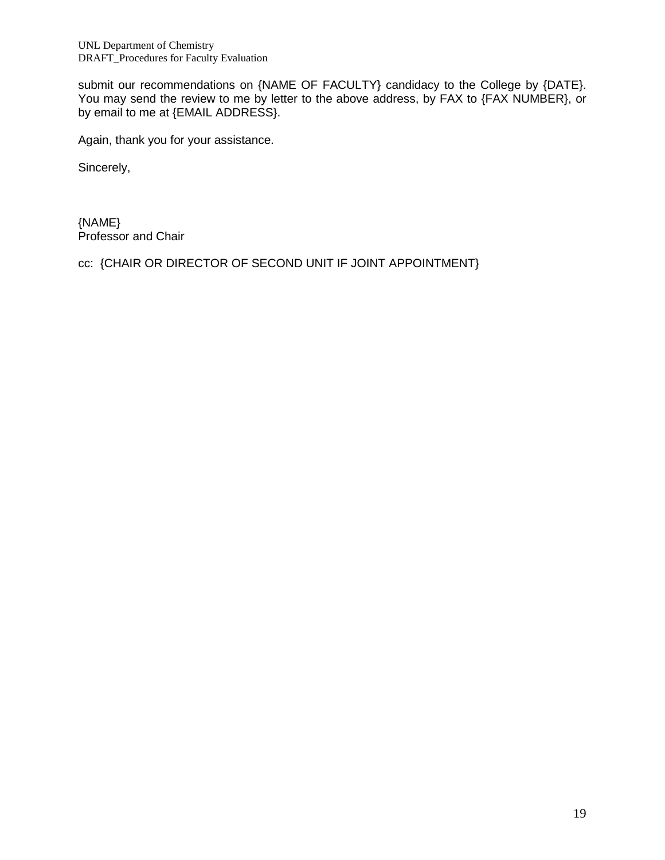submit our recommendations on {NAME OF FACULTY} candidacy to the College by {DATE}. You may send the review to me by letter to the above address, by FAX to {FAX NUMBER}, or by email to me at {EMAIL ADDRESS}.

Again, thank you for your assistance.

Sincerely,

{NAME} Professor and Chair

cc: {CHAIR OR DIRECTOR OF SECOND UNIT IF JOINT APPOINTMENT}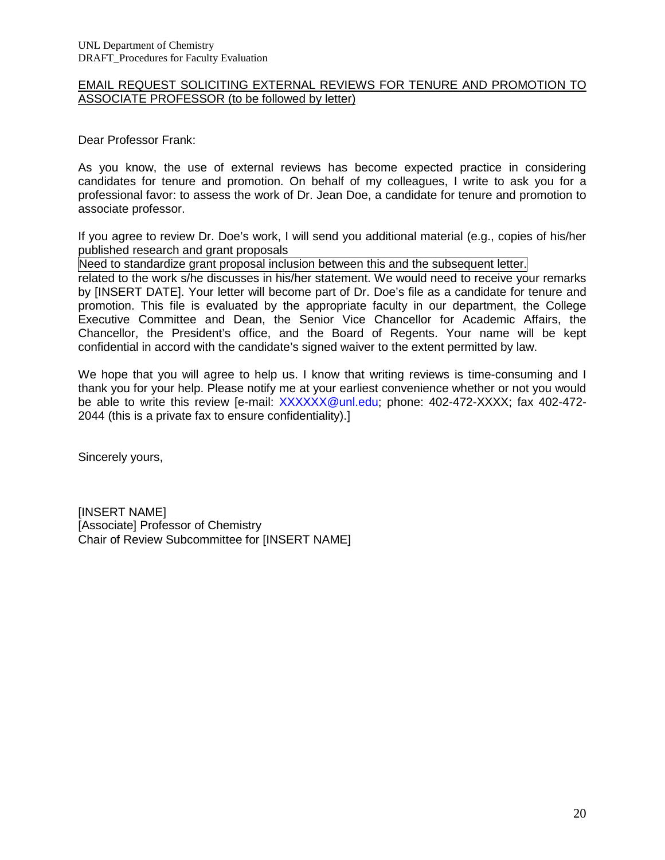### EMAIL REQUEST SOLICITING EXTERNAL REVIEWS FOR TENURE AND PROMOTION TO ASSOCIATE PROFESSOR (to be followed by letter)

Dear Professor Frank:

As you know, the use of external reviews has become expected practice in considering candidates for tenure and promotion. On behalf of my colleagues, I write to ask you for a professional favor: to assess the work of Dr. Jean Doe, a candidate for tenure and promotion to associate professor.

If you agree to review Dr. Doe's work, I will send you additional material (e.g., copies of his/her published research and grant proposals

Need to standardize grant proposal inclusion between this and the subsequent letter.

related to the work s/he discusses in his/her statement. We would need to receive your remarks by [INSERT DATE]. Your letter will become part of Dr. Doe's file as a candidate for tenure and promotion. This file is evaluated by the appropriate faculty in our department, the College Executive Committee and Dean, the Senior Vice Chancellor for Academic Affairs, the Chancellor, the President's office, and the Board of Regents. Your name will be kept confidential in accord with the candidate's signed waiver to the extent permitted by law.

We hope that you will agree to help us. I know that writing reviews is time-consuming and I thank you for your help. Please notify me at your earliest convenience whether or not you would be able to write this review [e-mail: [XXXXXX@unl.edu;](mailto:XXXXXX@unl.edu) phone: 402-472-XXXX; fax 402-472-2044 (this is a private fax to ensure confidentiality).]

Sincerely yours,

[INSERT NAME] [Associate] Professor of Chemistry Chair of Review Subcommittee for [INSERT NAME]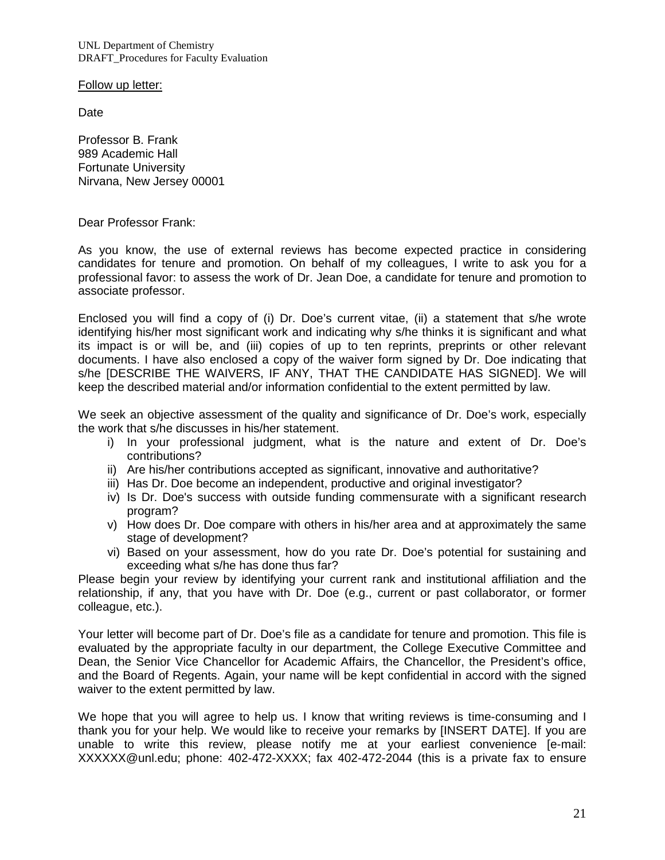UNL Department of Chemistry DRAFT\_Procedures for Faculty Evaluation

Follow up letter:

**Date** 

Professor B. Frank 989 Academic Hall Fortunate University Nirvana, New Jersey 00001

Dear Professor Frank:

As you know, the use of external reviews has become expected practice in considering candidates for tenure and promotion. On behalf of my colleagues, I write to ask you for a professional favor: to assess the work of Dr. Jean Doe, a candidate for tenure and promotion to associate professor.

Enclosed you will find a copy of (i) Dr. Doe's current vitae, (ii) a statement that s/he wrote identifying his/her most significant work and indicating why s/he thinks it is significant and what its impact is or will be, and (iii) copies of up to ten reprints, preprints or other relevant documents. I have also enclosed a copy of the waiver form signed by Dr. Doe indicating that s/he [DESCRIBE THE WAIVERS, IF ANY, THAT THE CANDIDATE HAS SIGNED]. We will keep the described material and/or information confidential to the extent permitted by law.

We seek an objective assessment of the quality and significance of Dr. Doe's work, especially the work that s/he discusses in his/her statement.

- i) In your professional judgment, what is the nature and extent of Dr. Doe's contributions?
- ii) Are his/her contributions accepted as significant, innovative and authoritative?
- iii) Has Dr. Doe become an independent, productive and original investigator?
- iv) Is Dr. Doe's success with outside funding commensurate with a significant research program?
- v) How does Dr. Doe compare with others in his/her area and at approximately the same stage of development?
- vi) Based on your assessment, how do you rate Dr. Doe's potential for sustaining and exceeding what s/he has done thus far?

Please begin your review by identifying your current rank and institutional affiliation and the relationship, if any, that you have with Dr. Doe (e.g., current or past collaborator, or former colleague, etc.).

Your letter will become part of Dr. Doe's file as a candidate for tenure and promotion. This file is evaluated by the appropriate faculty in our department, the College Executive Committee and Dean, the Senior Vice Chancellor for Academic Affairs, the Chancellor, the President's office, and the Board of Regents. Again, your name will be kept confidential in accord with the signed waiver to the extent permitted by law.

We hope that you will agree to help us. I know that writing reviews is time-consuming and I thank you for your help. We would like to receive your remarks by [INSERT DATE]. If you are unable to write this review, please notify me at your earliest convenience [e-mail: XXXXXX@unl.edu; phone: 402-472-XXXX; fax 402-472-2044 (this is a private fax to ensure